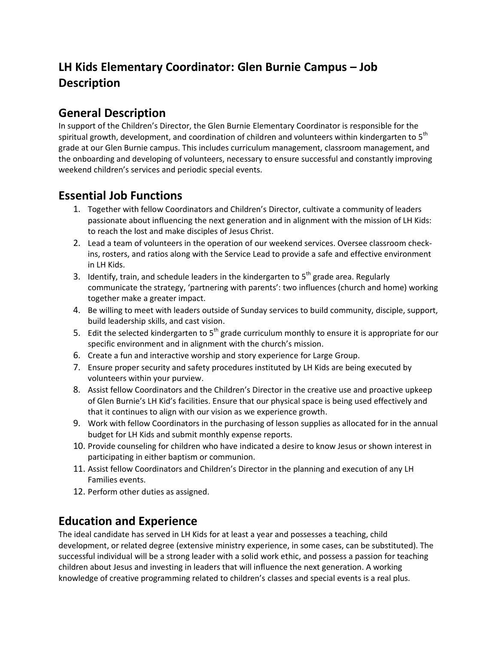## **LH Kids Elementary Coordinator: Glen Burnie Campus – Job Description**

### **General Description**

In support of the Children's Director, the Glen Burnie Elementary Coordinator is responsible for the spiritual growth, development, and coordination of children and volunteers within kindergarten to 5<sup>th</sup> grade at our Glen Burnie campus. This includes curriculum management, classroom management, and the onboarding and developing of volunteers, necessary to ensure successful and constantly improving weekend children's services and periodic special events.

### **Essential Job Functions**

- 1. Together with fellow Coordinators and Children's Director, cultivate a community of leaders passionate about influencing the next generation and in alignment with the mission of LH Kids: to reach the lost and make disciples of Jesus Christ.
- 2. Lead a team of volunteers in the operation of our weekend services. Oversee classroom checkins, rosters, and ratios along with the Service Lead to provide a safe and effective environment in LH Kids.
- 3. Identify, train, and schedule leaders in the kindergarten to  $5<sup>th</sup>$  grade area. Regularly communicate the strategy, 'partnering with parents': two influences (church and home) working together make a greater impact.
- 4. Be willing to meet with leaders outside of Sunday services to build community, disciple, support, build leadership skills, and cast vision.
- 5. Edit the selected kindergarten to  $5<sup>th</sup>$  grade curriculum monthly to ensure it is appropriate for our specific environment and in alignment with the church's mission.
- 6. Create a fun and interactive worship and story experience for Large Group.
- 7. Ensure proper security and safety procedures instituted by LH Kids are being executed by volunteers within your purview.
- 8. Assist fellow Coordinators and the Children's Director in the creative use and proactive upkeep of Glen Burnie's LH Kid's facilities. Ensure that our physical space is being used effectively and that it continues to align with our vision as we experience growth.
- 9. Work with fellow Coordinators in the purchasing of lesson supplies as allocated for in the annual budget for LH Kids and submit monthly expense reports.
- 10. Provide counseling for children who have indicated a desire to know Jesus or shown interest in participating in either baptism or communion.
- 11. Assist fellow Coordinators and Children's Director in the planning and execution of any LH Families events.
- 12. Perform other duties as assigned.

### **Education and Experience**

The ideal candidate has served in LH Kids for at least a year and possesses a teaching, child development, or related degree (extensive ministry experience, in some cases, can be substituted). The successful individual will be a strong leader with a solid work ethic, and possess a passion for teaching children about Jesus and investing in leaders that will influence the next generation. A working knowledge of creative programming related to children's classes and special events is a real plus.